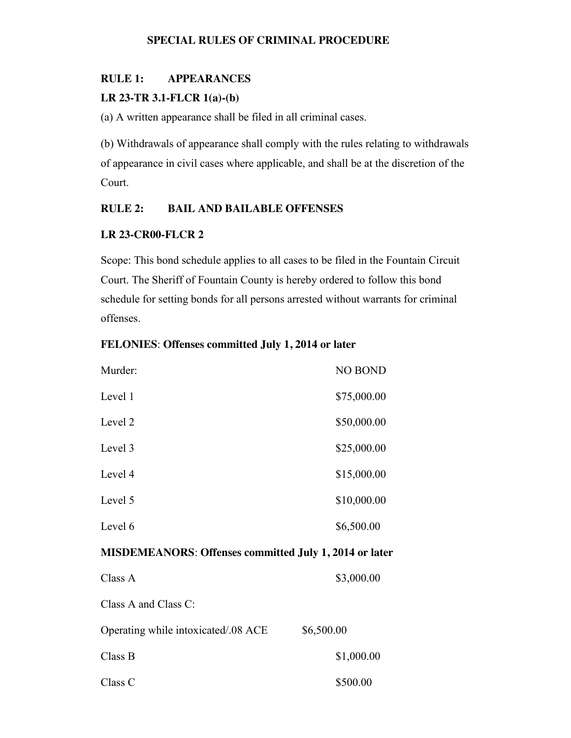#### **SPECIAL RULES OF CRIMINAL PROCEDURE**

#### **RULE 1: APPEARANCES**

#### **LR 23-TR 3.1-FLCR 1(a)-(b)**

(a) A written appearance shall be filed in all criminal cases.

(b) Withdrawals of appearance shall comply with the rules relating to withdrawals of appearance in civil cases where applicable, and shall be at the discretion of the Court.

### **RULE 2: BAIL AND BAILABLE OFFENSES**

#### **LR 23-CR00-FLCR 2**

Scope: This bond schedule applies to all cases to be filed in the Fountain Circuit Court. The Sheriff of Fountain County is hereby ordered to follow this bond schedule for setting bonds for all persons arrested without warrants for criminal offenses.

#### **FELONIES**: **Offenses committed July 1, 2014 or later**

| Murder: | <b>NO BOND</b> |
|---------|----------------|
| Level 1 | \$75,000.00    |
| Level 2 | \$50,000.00    |
| Level 3 | \$25,000.00    |
| Level 4 | \$15,000.00    |
| Level 5 | \$10,000.00    |
| Level 6 | \$6,500.00     |

#### **MISDEMEANORS**: **Offenses committed July 1, 2014 or later**

| Class A                             | \$3,000.00 |
|-------------------------------------|------------|
| Class A and Class $C$ :             |            |
| Operating while intoxicated/.08 ACE | \$6,500.00 |
| Class B                             | \$1,000.00 |
| Class C                             | \$500.00   |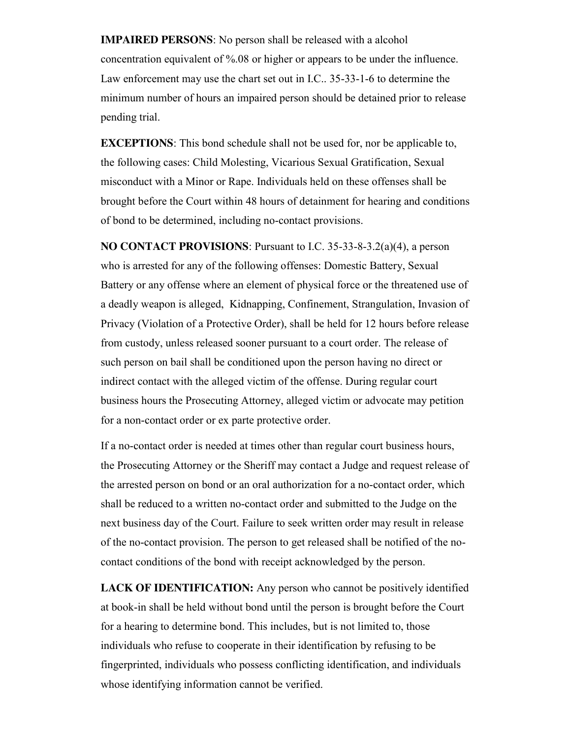**IMPAIRED PERSONS**: No person shall be released with a alcohol concentration equivalent of %.08 or higher or appears to be under the influence. Law enforcement may use the chart set out in I.C.. 35-33-1-6 to determine the minimum number of hours an impaired person should be detained prior to release pending trial.

**EXCEPTIONS**: This bond schedule shall not be used for, nor be applicable to, the following cases: Child Molesting, Vicarious Sexual Gratification, Sexual misconduct with a Minor or Rape. Individuals held on these offenses shall be brought before the Court within 48 hours of detainment for hearing and conditions of bond to be determined, including no-contact provisions.

**NO CONTACT PROVISIONS**: Pursuant to I.C. 35-33-8-3.2(a)(4), a person who is arrested for any of the following offenses: Domestic Battery, Sexual Battery or any offense where an element of physical force or the threatened use of a deadly weapon is alleged, Kidnapping, Confinement, Strangulation, Invasion of Privacy (Violation of a Protective Order), shall be held for 12 hours before release from custody, unless released sooner pursuant to a court order. The release of such person on bail shall be conditioned upon the person having no direct or indirect contact with the alleged victim of the offense. During regular court business hours the Prosecuting Attorney, alleged victim or advocate may petition for a non-contact order or ex parte protective order.

If a no-contact order is needed at times other than regular court business hours, the Prosecuting Attorney or the Sheriff may contact a Judge and request release of the arrested person on bond or an oral authorization for a no-contact order, which shall be reduced to a written no-contact order and submitted to the Judge on the next business day of the Court. Failure to seek written order may result in release of the no-contact provision. The person to get released shall be notified of the nocontact conditions of the bond with receipt acknowledged by the person.

LACK OF **IDENTIFICATION:** Any person who cannot be positively identified at book-in shall be held without bond until the person is brought before the Court for a hearing to determine bond. This includes, but is not limited to, those individuals who refuse to cooperate in their identification by refusing to be fingerprinted, individuals who possess conflicting identification, and individuals whose identifying information cannot be verified.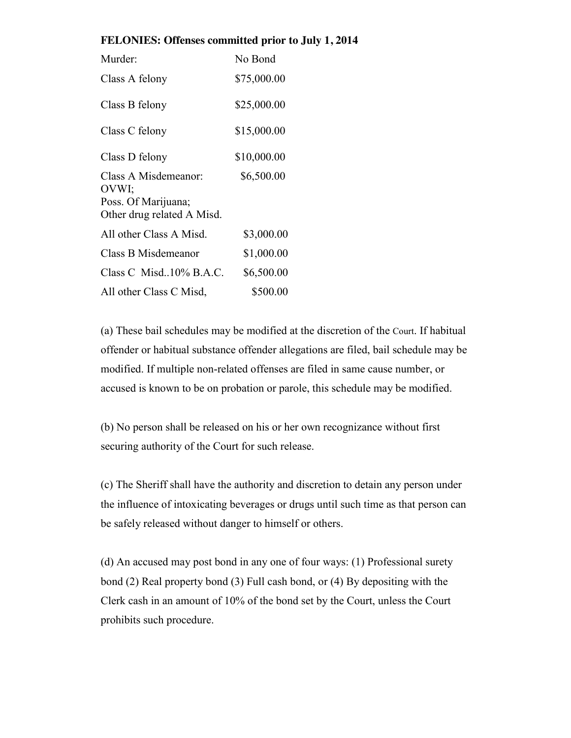#### **FELONIES: Offenses committed prior to July 1, 2014**

| Murder:                                                                            | No Bond     |
|------------------------------------------------------------------------------------|-------------|
| Class A felony                                                                     | \$75,000.00 |
| Class B felony                                                                     | \$25,000.00 |
| Class C felony                                                                     | \$15,000.00 |
| Class D felony                                                                     | \$10,000.00 |
| Class A Misdemeanor:<br>OVWI;<br>Poss. Of Marijuana;<br>Other drug related A Misd. | \$6,500.00  |
| All other Class A Misd.                                                            | \$3,000.00  |
| Class B Misdemeanor                                                                | \$1,000.00  |
| Class C Misd $10\%$ B.A.C.                                                         | \$6,500.00  |
| All other Class C Misd,                                                            | \$500.00    |

(a) These bail schedules may be modified at the discretion of the Court. If habitual offender or habitual substance offender allegations are filed, bail schedule may be modified. If multiple non-related offenses are filed in same cause number, or accused is known to be on probation or parole, this schedule may be modified.

(b) No person shall be released on his or her own recognizance without first securing authority of the Court for such release.

(c) The Sheriff shall have the authority and discretion to detain any person under the influence of intoxicating beverages or drugs until such time as that person can be safely released without danger to himself or others.

(d) An accused may post bond in any one of four ways: (1) Professional surety bond (2) Real property bond (3) Full cash bond, or (4) By depositing with the Clerk cash in an amount of 10% of the bond set by the Court, unless the Court prohibits such procedure.